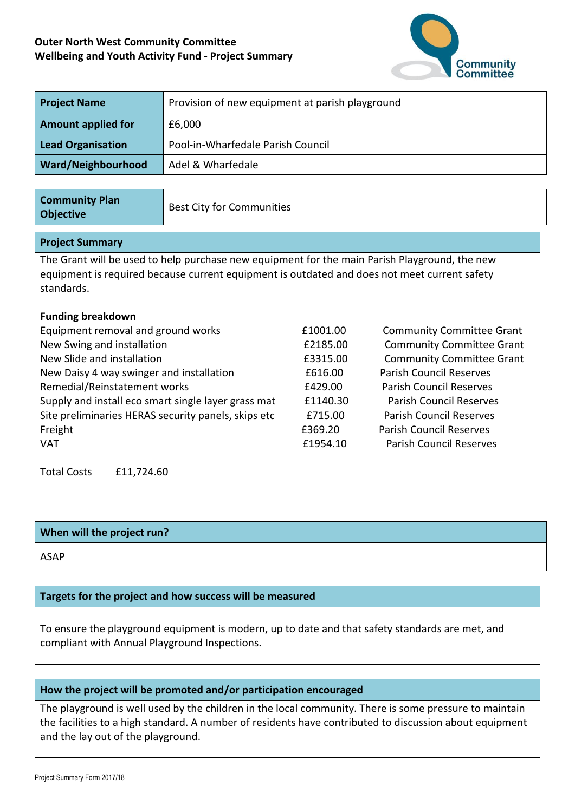## **Outer North West Community Committee Wellbeing and Youth Activity Fund - Project Summary**



| <b>Project Name</b>                                                                                                                                                                                         | Provision of new equipment at parish playground |          |                                  |  |  |  |
|-------------------------------------------------------------------------------------------------------------------------------------------------------------------------------------------------------------|-------------------------------------------------|----------|----------------------------------|--|--|--|
| <b>Amount applied for</b>                                                                                                                                                                                   | £6,000                                          |          |                                  |  |  |  |
| <b>Lead Organisation</b>                                                                                                                                                                                    | Pool-in-Wharfedale Parish Council               |          |                                  |  |  |  |
| Ward/Neighbourhood                                                                                                                                                                                          | Adel & Wharfedale                               |          |                                  |  |  |  |
|                                                                                                                                                                                                             |                                                 |          |                                  |  |  |  |
| <b>Community Plan</b><br><b>Objective</b>                                                                                                                                                                   | <b>Best City for Communities</b>                |          |                                  |  |  |  |
| <b>Project Summary</b>                                                                                                                                                                                      |                                                 |          |                                  |  |  |  |
| The Grant will be used to help purchase new equipment for the main Parish Playground, the new<br>equipment is required because current equipment is outdated and does not meet current safety<br>standards. |                                                 |          |                                  |  |  |  |
| <b>Funding breakdown</b>                                                                                                                                                                                    |                                                 |          |                                  |  |  |  |
| Equipment removal and ground works                                                                                                                                                                          |                                                 | £1001.00 | <b>Community Committee Grant</b> |  |  |  |
| New Swing and installation                                                                                                                                                                                  |                                                 | £2185.00 | <b>Community Committee Grant</b> |  |  |  |
| New Slide and installation                                                                                                                                                                                  |                                                 | £3315.00 | <b>Community Committee Grant</b> |  |  |  |
| New Daisy 4 way swinger and installation                                                                                                                                                                    |                                                 | £616.00  | <b>Parish Council Reserves</b>   |  |  |  |
| Remedial/Reinstatement works                                                                                                                                                                                |                                                 | £429.00  | <b>Parish Council Reserves</b>   |  |  |  |
| Supply and install eco smart single layer grass mat                                                                                                                                                         |                                                 | £1140.30 | <b>Parish Council Reserves</b>   |  |  |  |
| Site preliminaries HERAS security panels, skips etc                                                                                                                                                         |                                                 | £715.00  | <b>Parish Council Reserves</b>   |  |  |  |
| Freight                                                                                                                                                                                                     |                                                 | £369.20  | <b>Parish Council Reserves</b>   |  |  |  |
| <b>VAT</b>                                                                                                                                                                                                  |                                                 | £1954.10 | <b>Parish Council Reserves</b>   |  |  |  |
| <b>Total Costs</b><br>£11,724.60                                                                                                                                                                            |                                                 |          |                                  |  |  |  |

## **When will the project run?**

ASAP

## **Targets for the project and how success will be measured**

To ensure the playground equipment is modern, up to date and that safety standards are met, and compliant with Annual Playground Inspections.

## **How the project will be promoted and/or participation encouraged**

The playground is well used by the children in the local community. There is some pressure to maintain the facilities to a high standard. A number of residents have contributed to discussion about equipment and the lay out of the playground.